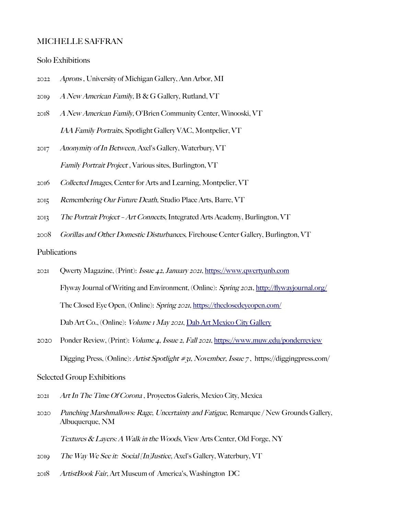#### MICHELLE SAFFRAN

#### Solo Exhibitions

- 2022 Aprons , University of Michigan Gallery, Ann Arbor, MI
- 2019 A New American Family,  $B \& G$  Gallery, Rutland, VT
- 2018 A New American Family, O'Brien Community Center, Winooski, VT IAA Family Portraits, Spotlight Gallery VAC, Montpelier, VT
- 2017 Anonymity of In Between, Axel's Gallery, Waterbury, VT Family Portrait Project , Various sites, Burlington, VT
- 2016 Collected Images, Center for Arts and Learning, Montpelier, VT
- 2015 Remembering Our Future Death, Studio Place Arts, Barre, VT
- 2013 The Portrait Project Art Connects, Integrated Arts Academy, Burlington, VT
- 2008 Gorillas and Other Domestic Disturbances, Firehouse Center Gallery, Burlington, VT

### Publications

- 2021 Qwerty Magazine, (Print): Issue 42, January 2021, [https://www.qwertyunb.com](https://www.qwertyunb.com/) Flyway Journal of Writing and Environment, (Online): Spring 2021, [http://fywayjournal.org/](http://flywayjournal.org/) The Closed Eye Open, (Online): Spring 2021,<https://theclosedeyeopen.com/> Dab Art Co., (Online): *Volume 1 May 2021*, [Dab Art Mexico City Gallery](https://www.artsy.net/show/dab-art-gallery-exhibit-art-in-the-time-of-%20corona-vol-dot-1-mexico-city?sort=partner_show_position)
- 2020 Ponder Review, (Print): Volume 4, Issue 2, Fall 2021,<https://www.muw.edu/ponderreview> Digging Press, (Online): Artist Spotlight #31, November, Issue 7 , https://diggingpress.com/

#### Selected Group Exhibitions

- 2021 Art In The Time Of Corona , Proyectos Galeris, Mexico City, Mexica
- 2020 Punching Marshmallows: Rage, Uncertainty and Fatigue, Remarque / New Grounds Gallery, Albuquerque, NM

Textures & Layers: A Walk in the Woods, View Arts Center, Old Forge, NY

- 2019 The Way We See it: Social [In]Justice, Axel's Gallery, Waterbury, VT
- 2018 ArtistBook Fair, Art Museum of America's, Washington DC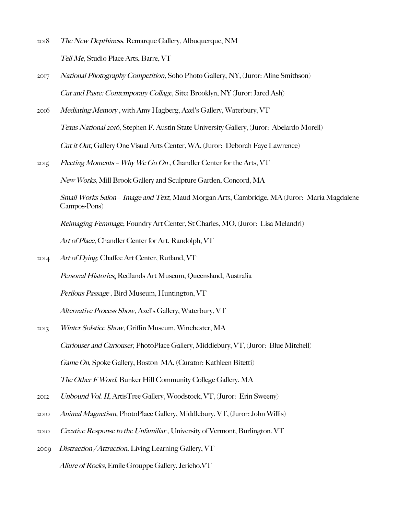- 2018 The New Depthiness, Remarque Gallery, Albuquerque, NM Tell Me, Studio Place Arts, Barre, VT
- 2017 National Photography Competition, Soho Photo Gallery, NY, (Juror: Aline Smithson) Cut and Paste: Contemporary Collage, Site: Brooklyn, NY (Juror: Jared Ash)
- 2016 Mediating Memory , with Amy Hagberg, Axel's Gallery, Waterbury, VT Texas National 2016, Stephen F. Austin State University Gallery, (Juror: Abelardo Morell) Cut it Out, Gallery One Visual Arts Center, WA, (Juror: Deborah Faye Lawrence)
- 2015 Fleeting Moments Why We Go On, Chandler Center for the Arts, VT

New Works, Mill Brook Gallery and Sculpture Garden, Concord, MA

Small Works Salon – Image and Text, Maud Morgan Arts, Cambridge, MA (Juror: Maria Magdalene Campos-Pons)

Reimaging Femmage, Foundry Art Center, St Charles, MO, (Juror: Lisa Melandri)

Art of Place, Chandler Center for Art, Randolph, VT

2014 Art of Dying, Chafee Art Center, Rutland, VT

Personal Histories, Redlands Art Museum, Queensland, Australia

Perilous Passage , Bird Museum, Huntington, VT

Alternative Process Show, Axel's Gallery, Waterbury, VT

- 2013 Winter Solstice Show, Griffin Museum, Winchester, MA Curiouser and Curiouser, PhotoPlace Gallery, Middlebury, VT, (Juror: Blue Mitchell) Game On, Spoke Gallery, Boston MA, (Curator: Kathleen Bitetti) The Other F Word, Bunker Hill Community College Gallery, MA
- 2012 Unbound Vol. II, ArtisTree Gallery, Woodstock, VT, (Juror: Erin Sweeny)
- 2010 Animal Magnetism, PhotoPlace Gallery, Middlebury, VT, (Juror: John Willis)
- 2010 Creative Response to the Unfamiliar, University of Vermont, Burlington, VT
- 2009 Distraction / Attraction, Living Learning Gallery, VT Allure of Rocks, Emile Grouppe Gallery, Jericho,VT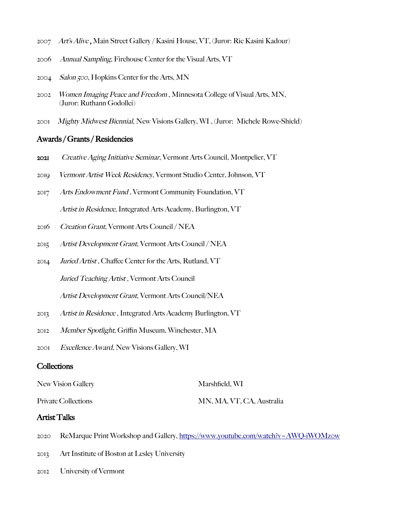- 2007 Art's Alive , Main Street Gallery / Kasini House, VT, (Juror: Ric Kasini Kadour)
- 2006 Annual Sampling, Firehouse Center for the Visual Arts, VT
- 2004 Salon 500, Hopkins Center for the Arts, MN
- 2002 Women Imaging Peace and Freedom , Minnesota College of Visual Arts, MN, (Juror: Ruthann Godollei)
- 2001 Mighty Midwest Biennial, New Visions Gallery, WI , (Juror: Michele Rowe-Shield)

### Awards / Grants / Residencies

- 2021 Creative Aging Initiative Seminar, Vermont Arts Council, Montpelier, VT
- 2019 Vermont Artist Week Residency, Vermont Studio Center, Johnson, VT
- 2017 Arts Endowment Fund , Vermont Community Foundation, VT Artist in Residence, Integrated Arts Academy, Burlington, VT
- 2016 Creation Grant, Vermont Arts Council / NEA
- 2015 Artist Development Grant, Vermont Arts Council / NEA
- 2014 Juried Artist , Chafee Center for the Arts, Rutland, VT Juried Teaching Artist, Vermont Arts Council Artist Development Grant, Vermont Arts Council/NEA
- 2013 Artist in Residence , Integrated Arts Academy Burlington, VT
- 2012 Member Spotlight, Grifn Museum, Winchester, MA
- 2001 Excellence Award, New Visions Gallery, WI

## **Collections**

New Vision Gallery Marshfield, WI

Private Collections MN, MA, VT, CA, Australia

### Artist Talks

- 2020 ReMarque Print Workshop and Gallery,<https://www.youtube.com/watch?v=AWQ->iWOMzow
- 2013 Art Institute of Boston at Lesley University
- 2012 University of Vermont